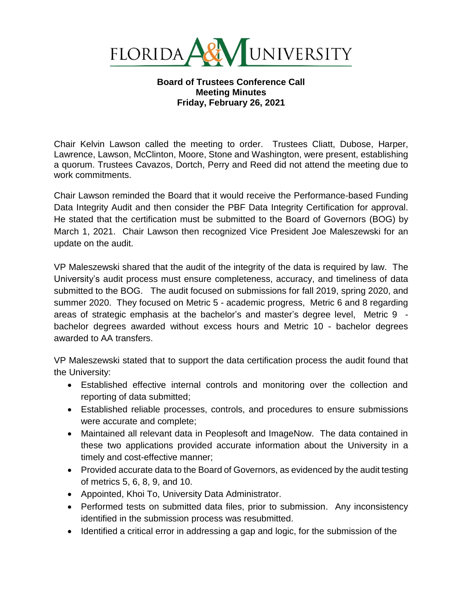

## **Board of Trustees Conference Call Meeting Minutes Friday, February 26, 2021**

Chair Kelvin Lawson called the meeting to order. Trustees Cliatt, Dubose, Harper, Lawrence, Lawson, McClinton, Moore, Stone and Washington, were present, establishing a quorum. Trustees Cavazos, Dortch, Perry and Reed did not attend the meeting due to work commitments.

Chair Lawson reminded the Board that it would receive the Performance-based Funding Data Integrity Audit and then consider the PBF Data Integrity Certification for approval. He stated that the certification must be submitted to the Board of Governors (BOG) by March 1, 2021. Chair Lawson then recognized Vice President Joe Maleszewski for an update on the audit.

VP Maleszewski shared that the audit of the integrity of the data is required by law. The University's audit process must ensure completeness, accuracy, and timeliness of data submitted to the BOG. The audit focused on submissions for fall 2019, spring 2020, and summer 2020. They focused on Metric 5 - academic progress, Metric 6 and 8 regarding areas of strategic emphasis at the bachelor's and master's degree level, Metric 9 bachelor degrees awarded without excess hours and Metric 10 - bachelor degrees awarded to AA transfers.

VP Maleszewski stated that to support the data certification process the audit found that the University:

- Established effective internal controls and monitoring over the collection and reporting of data submitted;
- Established reliable processes, controls, and procedures to ensure submissions were accurate and complete;
- Maintained all relevant data in Peoplesoft and ImageNow. The data contained in these two applications provided accurate information about the University in a timely and cost-effective manner;
- Provided accurate data to the Board of Governors, as evidenced by the audit testing of metrics 5, 6, 8, 9, and 10.
- Appointed, Khoi To, University Data Administrator.
- Performed tests on submitted data files, prior to submission. Any inconsistency identified in the submission process was resubmitted.
- Identified a critical error in addressing a gap and logic, for the submission of the